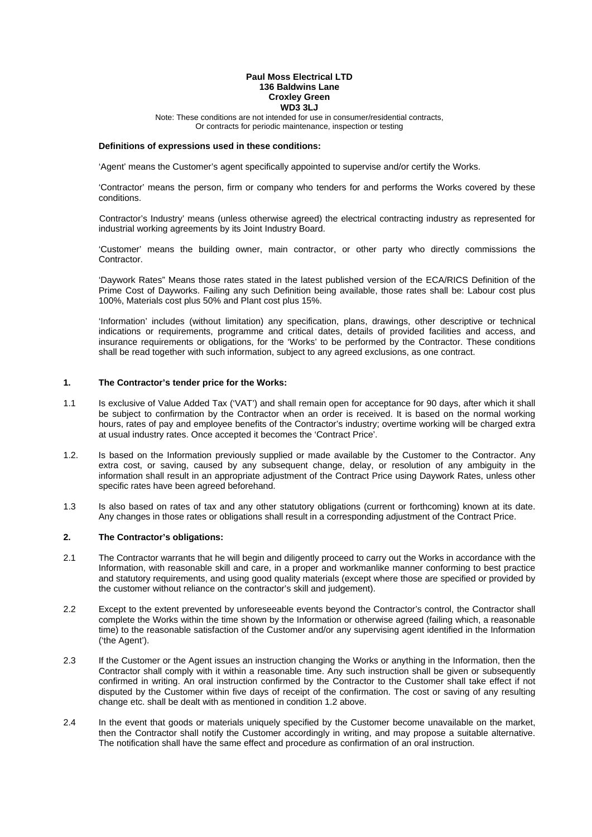#### **Paul Moss Electrical LTD 136 Baldwins Lane Croxley Green WD3 3LJ**

Note: These conditions are not intended for use in consumer/residential contracts, Or contracts for periodic maintenance, inspection or testing

## **Definitions of expressions used in these conditions:**

'Agent' means the Customer's agent specifically appointed to supervise and/or certify the Works.

 'Contractor' means the person, firm or company who tenders for and performs the Works covered by these conditions.

 Contractor's Industry' means (unless otherwise agreed) the electrical contracting industry as represented for industrial working agreements by its Joint Industry Board.

 'Customer' means the building owner, main contractor, or other party who directly commissions the Contractor.

 'Daywork Rates" Means those rates stated in the latest published version of the ECA/RICS Definition of the Prime Cost of Dayworks. Failing any such Definition being available, those rates shall be: Labour cost plus 100%, Materials cost plus 50% and Plant cost plus 15%.

'Information' includes (without limitation) any specification, plans, drawings, other descriptive or technical indications or requirements, programme and critical dates, details of provided facilities and access, and insurance requirements or obligations, for the 'Works' to be performed by the Contractor. These conditions shall be read together with such information, subject to any agreed exclusions, as one contract.

#### **1. The Contractor's tender price for the Works:**

- 1.1 Is exclusive of Value Added Tax ('VAT') and shall remain open for acceptance for 90 days, after which it shall be subject to confirmation by the Contractor when an order is received. It is based on the normal working hours, rates of pay and employee benefits of the Contractor's industry; overtime working will be charged extra at usual industry rates. Once accepted it becomes the 'Contract Price'.
- 1.2. Is based on the Information previously supplied or made available by the Customer to the Contractor. Any extra cost, or saving, caused by any subsequent change, delay, or resolution of any ambiguity in the information shall result in an appropriate adjustment of the Contract Price using Daywork Rates, unless other specific rates have been agreed beforehand.
- 1.3 Is also based on rates of tax and any other statutory obligations (current or forthcoming) known at its date. Any changes in those rates or obligations shall result in a corresponding adjustment of the Contract Price.

#### **2. The Contractor's obligations:**

- 2.1 The Contractor warrants that he will begin and diligently proceed to carry out the Works in accordance with the Information, with reasonable skill and care, in a proper and workmanlike manner conforming to best practice and statutory requirements, and using good quality materials (except where those are specified or provided by the customer without reliance on the contractor's skill and judgement).
- 2.2 Except to the extent prevented by unforeseeable events beyond the Contractor's control, the Contractor shall complete the Works within the time shown by the Information or otherwise agreed (failing which, a reasonable time) to the reasonable satisfaction of the Customer and/or any supervising agent identified in the Information ('the Agent').
- 2.3 If the Customer or the Agent issues an instruction changing the Works or anything in the Information, then the Contractor shall comply with it within a reasonable time. Any such instruction shall be given or subsequently confirmed in writing. An oral instruction confirmed by the Contractor to the Customer shall take effect if not disputed by the Customer within five days of receipt of the confirmation. The cost or saving of any resulting change etc. shall be dealt with as mentioned in condition 1.2 above.
- 2.4 In the event that goods or materials uniquely specified by the Customer become unavailable on the market, then the Contractor shall notify the Customer accordingly in writing, and may propose a suitable alternative. The notification shall have the same effect and procedure as confirmation of an oral instruction.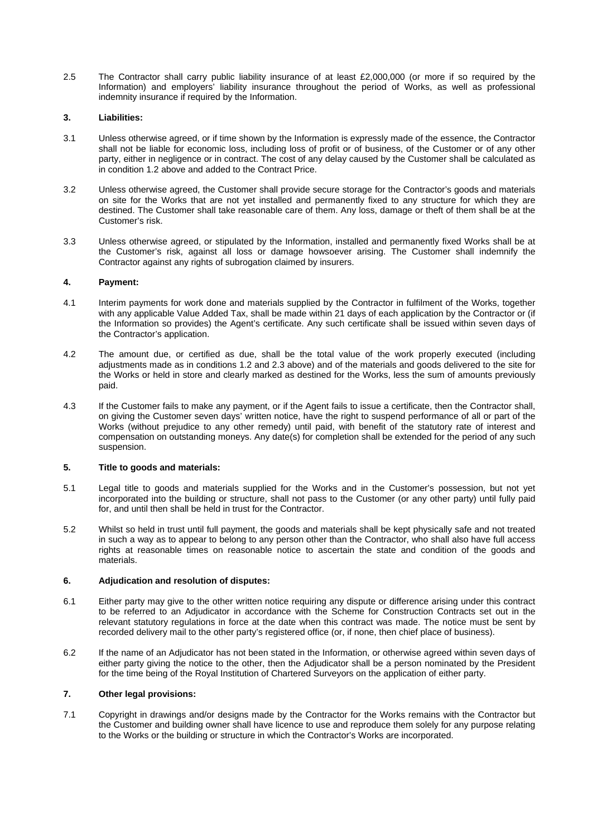2.5 The Contractor shall carry public liability insurance of at least £2,000,000 (or more if so required by the Information) and employers' liability insurance throughout the period of Works, as well as professional indemnity insurance if required by the Information.

### **3. Liabilities:**

- 3.1 Unless otherwise agreed, or if time shown by the Information is expressly made of the essence, the Contractor shall not be liable for economic loss, including loss of profit or of business, of the Customer or of any other party, either in negligence or in contract. The cost of any delay caused by the Customer shall be calculated as in condition 1.2 above and added to the Contract Price.
- 3.2 Unless otherwise agreed, the Customer shall provide secure storage for the Contractor's goods and materials on site for the Works that are not yet installed and permanently fixed to any structure for which they are destined. The Customer shall take reasonable care of them. Any loss, damage or theft of them shall be at the Customer's risk.
- 3.3 Unless otherwise agreed, or stipulated by the Information, installed and permanently fixed Works shall be at the Customer's risk, against all loss or damage howsoever arising. The Customer shall indemnify the Contractor against any rights of subrogation claimed by insurers.

### **4. Payment:**

- 4.1 Interim payments for work done and materials supplied by the Contractor in fulfilment of the Works, together with any applicable Value Added Tax, shall be made within 21 days of each application by the Contractor or (if the Information so provides) the Agent's certificate. Any such certificate shall be issued within seven days of the Contractor's application.
- 4.2 The amount due, or certified as due, shall be the total value of the work properly executed (including adjustments made as in conditions 1.2 and 2.3 above) and of the materials and goods delivered to the site for the Works or held in store and clearly marked as destined for the Works, less the sum of amounts previously paid.
- 4.3 If the Customer fails to make any payment, or if the Agent fails to issue a certificate, then the Contractor shall, on giving the Customer seven days' written notice, have the right to suspend performance of all or part of the Works (without prejudice to any other remedy) until paid, with benefit of the statutory rate of interest and compensation on outstanding moneys. Any date(s) for completion shall be extended for the period of any such suspension.

# **5. Title to goods and materials:**

- 5.1 Legal title to goods and materials supplied for the Works and in the Customer's possession, but not yet incorporated into the building or structure, shall not pass to the Customer (or any other party) until fully paid for, and until then shall be held in trust for the Contractor.
- 5.2 Whilst so held in trust until full payment, the goods and materials shall be kept physically safe and not treated in such a way as to appear to belong to any person other than the Contractor, who shall also have full access rights at reasonable times on reasonable notice to ascertain the state and condition of the goods and materials.

# **6. Adjudication and resolution of disputes:**

- 6.1 Either party may give to the other written notice requiring any dispute or difference arising under this contract to be referred to an Adjudicator in accordance with the Scheme for Construction Contracts set out in the relevant statutory regulations in force at the date when this contract was made. The notice must be sent by recorded delivery mail to the other party's registered office (or, if none, then chief place of business).
- 6.2 If the name of an Adjudicator has not been stated in the Information, or otherwise agreed within seven days of either party giving the notice to the other, then the Adjudicator shall be a person nominated by the President for the time being of the Royal Institution of Chartered Surveyors on the application of either party.

# **7. Other legal provisions:**

7.1 Copyright in drawings and/or designs made by the Contractor for the Works remains with the Contractor but the Customer and building owner shall have licence to use and reproduce them solely for any purpose relating to the Works or the building or structure in which the Contractor's Works are incorporated.